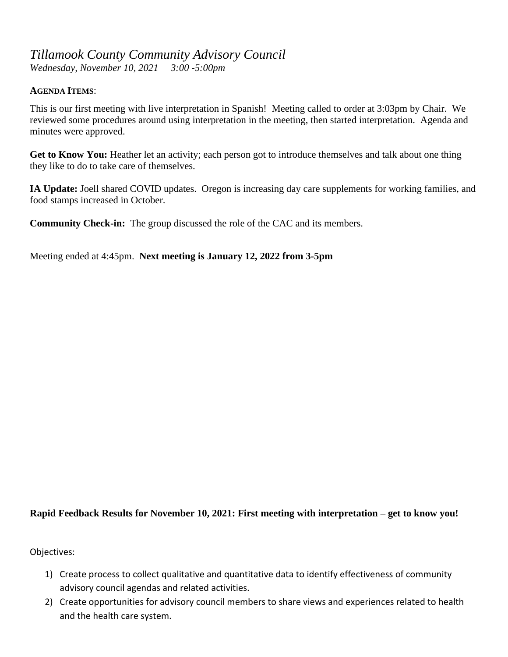## *Tillamook County Community Advisory Council*

*Wednesday, November 10, 2021 3:00 -5:00pm*

## **AGENDA ITEMS**:

This is our first meeting with live interpretation in Spanish! Meeting called to order at 3:03pm by Chair. We reviewed some procedures around using interpretation in the meeting, then started interpretation. Agenda and minutes were approved.

Get to Know You: Heather let an activity; each person got to introduce themselves and talk about one thing they like to do to take care of themselves.

**IA Update:** Joell shared COVID updates. Oregon is increasing day care supplements for working families, and food stamps increased in October.

**Community Check-in:** The group discussed the role of the CAC and its members.

Meeting ended at 4:45pm. **Next meeting is January 12, 2022 from 3-5pm**

## **Rapid Feedback Results for November 10, 2021: First meeting with interpretation – get to know you!**

Objectives:

- 1) Create process to collect qualitative and quantitative data to identify effectiveness of community advisory council agendas and related activities.
- 2) Create opportunities for advisory council members to share views and experiences related to health and the health care system.